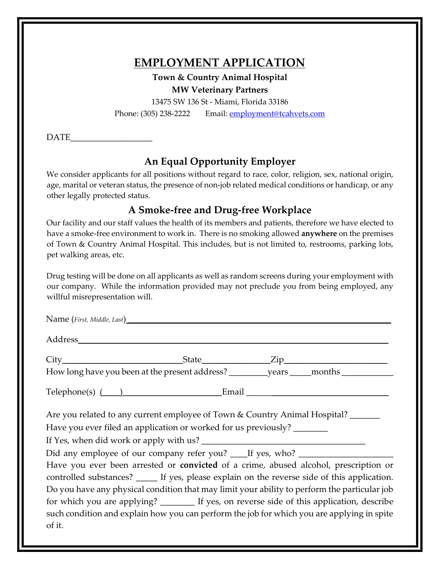# **EMPLOYMENT APPLICATION**

**Town & Country Animal Hospital MW Veterinary Partners**

13475 SW 136 St - Miami, Florida 33186 Phone: (305) 238-2222 Email: employment@tcahvets.com

 $\mathop{\mathrm{DATE}}$ 

## **An Equal Opportunity Employer**

We consider applicants for all positions without regard to race, color, religion, sex, national origin, age, marital or veteran status, the presence of non-job related medical conditions or handicap, or any other legally protected status.

## **A Smoke-free and Drug-free Workplace**

Our facility and our staff values the health of its members and patients, therefore we have elected to have a smoke-free environment to work in. There is no smoking allowed **anywhere** on the premises of Town & Country Animal Hospital. This includes, but is not limited to, restrooms, parking lots, pet walking areas, etc.

Drug testing will be done on all applicants as well as random screens during your employment with our company. While the information provided may not preclude you from being employed, any willful misrepresentation will.

| Name (First, Middle, Last)                                                                                                                                                                                                                                                                                                                                                                                                                                                                  |  |  |  |  |  |  |
|---------------------------------------------------------------------------------------------------------------------------------------------------------------------------------------------------------------------------------------------------------------------------------------------------------------------------------------------------------------------------------------------------------------------------------------------------------------------------------------------|--|--|--|--|--|--|
|                                                                                                                                                                                                                                                                                                                                                                                                                                                                                             |  |  |  |  |  |  |
|                                                                                                                                                                                                                                                                                                                                                                                                                                                                                             |  |  |  |  |  |  |
|                                                                                                                                                                                                                                                                                                                                                                                                                                                                                             |  |  |  |  |  |  |
| $\text{Telephone}(s)$ $\qquad$ $\qquad$ $\qquad$ $\qquad$ $\qquad$ $\qquad$ $\qquad$ $\qquad$ $\qquad$ $\qquad$ $\qquad$ $\qquad$ $\qquad$ $\qquad$ $\qquad$ $\qquad$ $\qquad$ $\qquad$ $\qquad$ $\qquad$ $\qquad$ $\qquad$ $\qquad$ $\qquad$ $\qquad$ $\qquad$ $\qquad$ $\qquad$ $\qquad$ $\qquad$ $\qquad$ $\qquad$ $\qquad$ $\qquad$ $\qquad$                                                                                                                                            |  |  |  |  |  |  |
| Are you related to any current employee of Town & Country Animal Hospital? ______                                                                                                                                                                                                                                                                                                                                                                                                           |  |  |  |  |  |  |
| Have you ever filed an application or worked for us previously? ________                                                                                                                                                                                                                                                                                                                                                                                                                    |  |  |  |  |  |  |
|                                                                                                                                                                                                                                                                                                                                                                                                                                                                                             |  |  |  |  |  |  |
| Did any employee of our company refer you? ____If yes, who? _____________________                                                                                                                                                                                                                                                                                                                                                                                                           |  |  |  |  |  |  |
| Have you ever been arrested or convicted of a crime, abused alcohol, prescription or<br>controlled substances? ______ If yes, please explain on the reverse side of this application.<br>Do you have any physical condition that may limit your ability to perform the particular job<br>for which you are applying? ________ If yes, on reverse side of this application, describe<br>such condition and explain how you can perform the job for which you are applying in spite<br>of it. |  |  |  |  |  |  |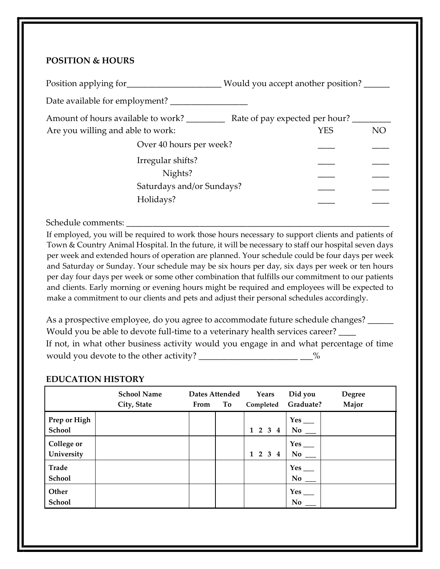### **POSITION & HOURS**

| Position applying for              | Would you accept another position? |  |
|------------------------------------|------------------------------------|--|
| Date available for employment?     |                                    |  |
| Amount of hours available to work? | Rate of pay expected per hour?     |  |
| Are you willing and able to work:  | YES<br>NO                          |  |
| Over 40 hours per week?            |                                    |  |
| Irregular shifts?                  |                                    |  |
| Nights?                            |                                    |  |
| Saturdays and/or Sundays?          |                                    |  |
| Holidays?                          |                                    |  |
|                                    |                                    |  |

#### Schedule comments:

If employed, you will be required to work those hours necessary to support clients and patients of Town & Country Animal Hospital. In the future, it will be necessary to staff our hospital seven days per week and extended hours of operation are planned. Your schedule could be four days per week and Saturday or Sunday. Your schedule may be six hours per day, six days per week or ten hours per day four days per week or some other combination that fulfills our commitment to our patients and clients. Early morning or evening hours might be required and employees will be expected to make a commitment to our clients and pets and adjust their personal schedules accordingly.

As a prospective employee, do you agree to accommodate future schedule changes? \_\_\_\_\_\_ Would you be able to devote full-time to a veterinary health services career? If not, in what other business activity would you engage in and what percentage of time would you devote to the other activity? \_\_\_\_\_\_\_\_\_\_\_\_\_\_\_\_\_\_\_\_\_\_\_\_\_\_\_\_\_\_\_\_%

#### **EDUCATION HISTORY**

|                                 | <b>School Name</b><br>City, State | From | Dates Attended<br>To | Years<br>Completed                  | Did you<br>Graduate?                  | Degree<br>Major |
|---------------------------------|-----------------------------------|------|----------------------|-------------------------------------|---------------------------------------|-----------------|
| Prep or High<br>School          |                                   |      |                      | $1\quad 2\quad 3$<br>4              | $Yes$ <sub>___</sub><br>$\bf{No}$     |                 |
| <b>College or</b><br>University |                                   |      |                      | $1\quad 2\quad 3$<br>$\overline{4}$ | $Yes$ <sub>___</sub><br>No            |                 |
| <b>Trade</b><br>School          |                                   |      |                      |                                     | $Yes$ <sub>___</sub><br>$No$ $\qquad$ |                 |
| Other<br>School                 |                                   |      |                      |                                     | Yes<br><b>No</b>                      |                 |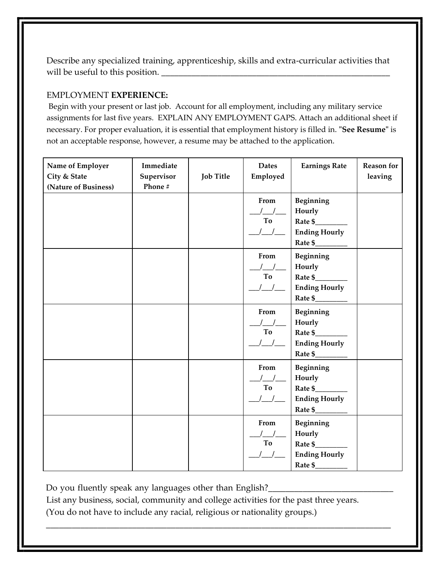Describe any specialized training, apprenticeship, skills and extra-curricular activities that will be useful to this position.

### EMPLOYMENT **EXPERIENCE:**

Begin with your present or last job. Account for all employment, including any military service assignments for last five years. EXPLAIN ANY EMPLOYMENT GAPS. Attach an additional sheet if necessary. For proper evaluation, it is essential that employment history is filled in. **"See Resume"** is not an acceptable response, however, a resume may be attached to the application.

| Name of Employer<br>City & State<br>(Nature of Business) | Immediate<br>Supervisor<br>Phone # | <b>Job Title</b> | <b>Dates</b><br>Employed                                                                         | <b>Earnings Rate</b>                                              | <b>Reason</b> for<br>leaving |
|----------------------------------------------------------|------------------------------------|------------------|--------------------------------------------------------------------------------------------------|-------------------------------------------------------------------|------------------------------|
|                                                          |                                    |                  | From<br>To                                                                                       | Beginning<br>Hourly<br>Rate \$<br><b>Ending Hourly</b><br>Rate \$ |                              |
|                                                          |                                    |                  | From<br>To<br>$\frac{1}{2}$                                                                      | Beginning<br>Hourly<br><b>Ending Hourly</b><br>Rate $\frac{1}{2}$ |                              |
|                                                          |                                    |                  | From<br>To<br>$\sqrt{2}$                                                                         | Beginning<br>Hourly<br>Rate \$<br><b>Ending Hourly</b>            |                              |
|                                                          |                                    |                  | From<br>$\left  \begin{array}{cc} \end{array} \right $<br>To<br>$\begin{array}{ccc} \end{array}$ | Beginning<br>Hourly<br>Rate \$<br><b>Ending Hourly</b>            |                              |
|                                                          |                                    |                  | From<br>To                                                                                       | Beginning<br>Hourly<br><b>Ending Hourly</b><br>Rate \$            |                              |

Do you fluently speak any languages other than English?\_\_\_\_\_\_\_\_\_\_\_\_\_\_\_\_\_\_\_\_\_\_\_\_\_

List any business, social, community and college activities for the past three years. (You do not have to include any racial, religious or nationality groups.)

\_\_\_\_\_\_\_\_\_\_\_\_\_\_\_\_\_\_\_\_\_\_\_\_\_\_\_\_\_\_\_\_\_\_\_\_\_\_\_\_\_\_\_\_\_\_\_\_\_\_\_\_\_\_\_\_\_\_\_\_\_\_\_\_\_\_\_\_\_\_\_\_\_\_\_\_\_\_\_\_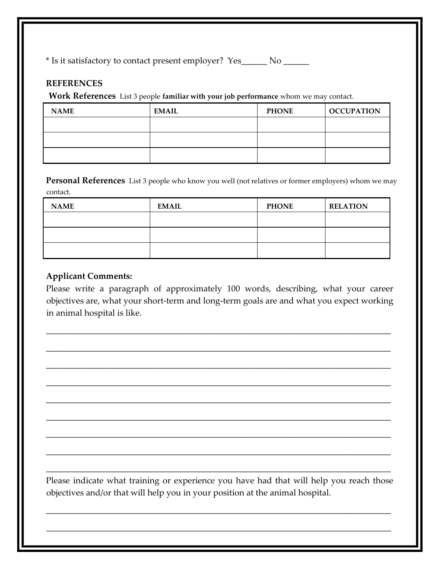\* Is it satisfactory to contact present employer? Yes\_\_\_\_\_\_ No \_\_\_\_\_\_

#### **REFERENCES**

**Work References** List 3 people **familiar with your job performance** whom we may contact.

| <b>NAME</b> | <b>EMAIL</b> | <b>PHONE</b> | <b>OCCUPATION</b> |
|-------------|--------------|--------------|-------------------|
|             |              |              |                   |
|             |              |              |                   |
|             |              |              |                   |

**Personal References** List 3 people who know you well (not relatives or former employers) whom we may contact.

| <b>NAME</b> | <b>EMAIL</b> | <b>PHONE</b> | <b>RELATION</b> |
|-------------|--------------|--------------|-----------------|
|             |              |              |                 |
|             |              |              |                 |
|             |              |              |                 |

#### **Applicant Comments:**

Please write a paragraph of approximately 100 words, describing, what your career objectives are, what your short-term and long-term goals are and what you expect working in animal hospital is like.

\_\_\_\_\_\_\_\_\_\_\_\_\_\_\_\_\_\_\_\_\_\_\_\_\_\_\_\_\_\_\_\_\_\_\_\_\_\_\_\_\_\_\_\_\_\_\_\_\_\_\_\_\_\_\_\_\_\_\_\_\_\_\_\_\_\_\_\_\_\_\_\_\_\_\_\_\_\_\_\_

\_\_\_\_\_\_\_\_\_\_\_\_\_\_\_\_\_\_\_\_\_\_\_\_\_\_\_\_\_\_\_\_\_\_\_\_\_\_\_\_\_\_\_\_\_\_\_\_\_\_\_\_\_\_\_\_\_\_\_\_\_\_\_\_\_\_\_\_\_\_\_\_\_\_\_\_\_\_\_\_

\_\_\_\_\_\_\_\_\_\_\_\_\_\_\_\_\_\_\_\_\_\_\_\_\_\_\_\_\_\_\_\_\_\_\_\_\_\_\_\_\_\_\_\_\_\_\_\_\_\_\_\_\_\_\_\_\_\_\_\_\_\_\_\_\_\_\_\_\_\_\_\_\_\_\_\_\_\_\_\_

\_\_\_\_\_\_\_\_\_\_\_\_\_\_\_\_\_\_\_\_\_\_\_\_\_\_\_\_\_\_\_\_\_\_\_\_\_\_\_\_\_\_\_\_\_\_\_\_\_\_\_\_\_\_\_\_\_\_\_\_\_\_\_\_\_\_\_\_\_\_\_\_\_\_\_\_\_\_\_\_

\_\_\_\_\_\_\_\_\_\_\_\_\_\_\_\_\_\_\_\_\_\_\_\_\_\_\_\_\_\_\_\_\_\_\_\_\_\_\_\_\_\_\_\_\_\_\_\_\_\_\_\_\_\_\_\_\_\_\_\_\_\_\_\_\_\_\_\_\_\_\_\_\_\_\_\_\_\_\_\_

\_\_\_\_\_\_\_\_\_\_\_\_\_\_\_\_\_\_\_\_\_\_\_\_\_\_\_\_\_\_\_\_\_\_\_\_\_\_\_\_\_\_\_\_\_\_\_\_\_\_\_\_\_\_\_\_\_\_\_\_\_\_\_\_\_\_\_\_\_\_\_\_\_\_\_\_\_\_\_\_

\_\_\_\_\_\_\_\_\_\_\_\_\_\_\_\_\_\_\_\_\_\_\_\_\_\_\_\_\_\_\_\_\_\_\_\_\_\_\_\_\_\_\_\_\_\_\_\_\_\_\_\_\_\_\_\_\_\_\_\_\_\_\_\_\_\_\_\_\_\_\_\_\_\_\_\_\_\_\_\_

\_\_\_\_\_\_\_\_\_\_\_\_\_\_\_\_\_\_\_\_\_\_\_\_\_\_\_\_\_\_\_\_\_\_\_\_\_\_\_\_\_\_\_\_\_\_\_\_\_\_\_\_\_\_\_\_\_\_\_\_\_\_\_\_\_\_\_\_\_\_\_\_\_\_\_\_\_\_\_\_

\_\_\_\_\_\_\_\_\_\_\_\_\_\_\_\_\_\_\_\_\_\_\_\_\_\_\_\_\_\_\_\_\_\_\_\_\_\_\_\_\_\_\_\_\_\_\_\_\_\_\_\_\_\_\_\_\_\_\_\_\_\_\_\_\_\_\_\_\_\_\_\_\_\_\_\_\_\_\_\_

Please indicate what training or experience you have had that will help you reach those objectives and/or that will help you in your position at the animal hospital.

\_\_\_\_\_\_\_\_\_\_\_\_\_\_\_\_\_\_\_\_\_\_\_\_\_\_\_\_\_\_\_\_\_\_\_\_\_\_\_\_\_\_\_\_\_\_\_\_\_\_\_\_\_\_\_\_\_\_\_\_\_\_\_\_\_\_\_\_\_\_\_\_\_\_\_\_\_\_\_\_

\_\_\_\_\_\_\_\_\_\_\_\_\_\_\_\_\_\_\_\_\_\_\_\_\_\_\_\_\_\_\_\_\_\_\_\_\_\_\_\_\_\_\_\_\_\_\_\_\_\_\_\_\_\_\_\_\_\_\_\_\_\_\_\_\_\_\_\_\_\_\_\_\_\_\_\_\_\_\_\_